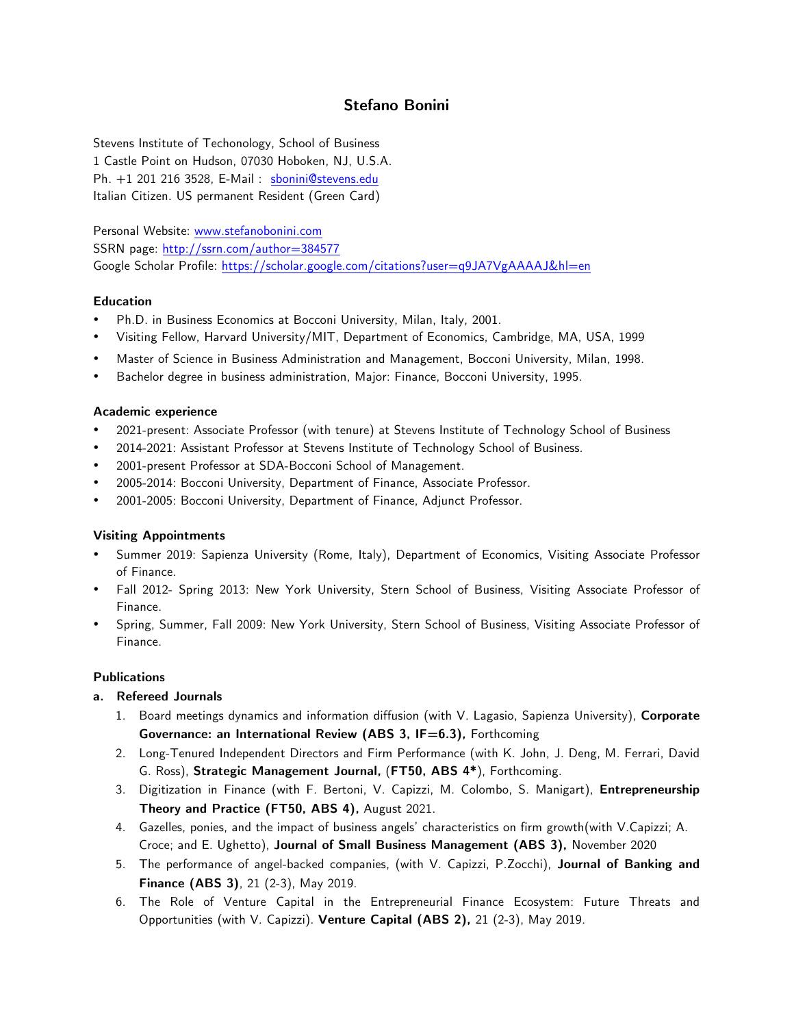# **Stefano Bonini**

Stevens Institute of Techonology, School of Business 1 Castle Point on Hudson, 07030 Hoboken, NJ, U.S.A. Ph. +1 201 216 3528, E-Mail : sbonini@stevens.edu Italian Citizen. US permanent Resident (Green Card)

Personal Website: www.stefanobonini.com SSRN page: http://ssrn.com/author=384577 Google Scholar Profile: https://scholar.google.com/citations?user=q9JA7VgAAAAJ&hl=en

#### **Education**

- Ph.D. in Business Economics at Bocconi University, Milan, Italy, 2001.
- Visiting Fellow, Harvard University/MIT, Department of Economics, Cambridge, MA, USA, 1999
- Master of Science in Business Administration and Management, Bocconi University, Milan, 1998.
- Bachelor degree in business administration, Major: Finance, Bocconi University, 1995.

#### **Academic experience**

- 2021-present: Associate Professor (with tenure) at Stevens Institute of Technology School of Business
- 2014-2021: Assistant Professor at Stevens Institute of Technology School of Business.
- 2001-present Professor at SDA-Bocconi School of Management.
- 2005-2014: Bocconi University, Department of Finance, Associate Professor.
- 2001-2005: Bocconi University, Department of Finance, Adjunct Professor.

#### **Visiting Appointments**

- Summer 2019: Sapienza University (Rome, Italy), Department of Economics, Visiting Associate Professor of Finance.
- Fall 2012- Spring 2013: New York University, Stern School of Business, Visiting Associate Professor of Finance.
- Spring, Summer, Fall 2009: New York University, Stern School of Business, Visiting Associate Professor of Finance.

# **Publications**

#### **a. Refereed Journals**

- 1. Board meetings dynamics and information diffusion (with V. Lagasio, Sapienza University), **Corporate Governance: an International Review (ABS 3, IF=6.3), Forthcoming**
- 2. Long-Tenured Independent Directors and Firm Performance (with K. John, J. Deng, M. Ferrari, David G. Ross), **Strategic Management Journal,** (**FT50, ABS 4\***), Forthcoming.
- 3. Digitization in Finance (with F. Bertoni, V. Capizzi, M. Colombo, S. Manigart), **Entrepreneurship Theory and Practice (FT50, ABS 4),** August 2021.
- 4. Gazelles, ponies, and the impact of business angels' characteristics on firm growth(with V.Capizzi; A. Croce; and E. Ughetto), **Journal of Small Business Management (ABS 3),** November 2020
- 5. The performance of angel-backed companies, (with V. Capizzi, P.Zocchi), **Journal of Banking and Finance (ABS 3)**, 21 (2-3), May 2019.
- 6. The Role of Venture Capital in the Entrepreneurial Finance Ecosystem: Future Threats and Opportunities (with V. Capizzi). **Venture Capital (ABS 2),** 21 (2-3), May 2019.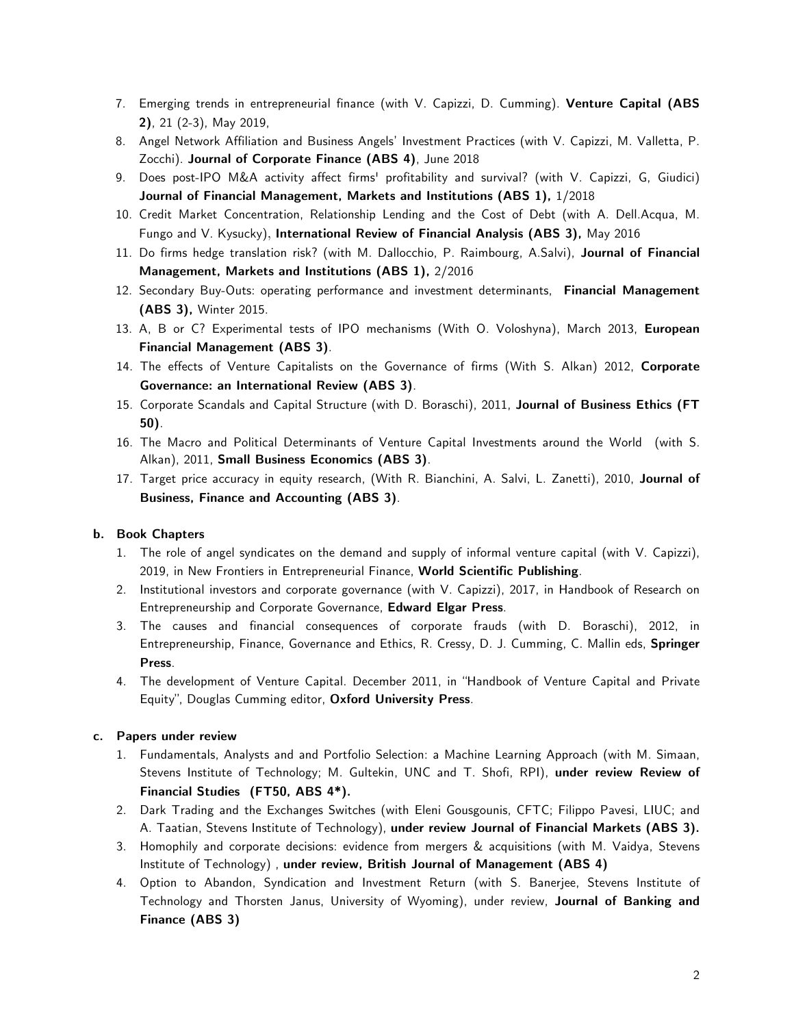- 7. Emerging trends in entrepreneurial finance (with V. Capizzi, D. Cumming). **Venture Capital (ABS 2)**, 21 (2-3), May 2019,
- 8. Angel Network Affiliation and Business Angels' Investment Practices (with V. Capizzi, M. Valletta, P. Zocchi). **Journal of Corporate Finance (ABS 4)**, June 2018
- 9. Does post-IPO M&A activity affect firms' profitability and survival? (with V. Capizzi, G, Giudici) **Journal of Financial Management, Markets and Institutions (ABS 1),** 1/2018
- 10. Credit Market Concentration, Relationship Lending and the Cost of Debt (with A. Dell.Acqua, M. Fungo and V. Kysucky), **International Review of Financial Analysis (ABS 3),** May 2016
- 11. Do firms hedge translation risk? (with M. Dallocchio, P. Raimbourg, A.Salvi), **Journal of Financial Management, Markets and Institutions (ABS 1),** 2/2016
- 12. Secondary Buy-Outs: operating performance and investment determinants, **Financial Management (ABS 3),** Winter 2015.
- 13. A, B or C? Experimental tests of IPO mechanisms (With O. Voloshyna), March 2013, **European Financial Management (ABS 3)**.
- 14. The effects of Venture Capitalists on the Governance of firms (With S. Alkan) 2012, **Corporate Governance: an International Review (ABS 3)**.
- 15. Corporate Scandals and Capital Structure (with D. Boraschi), 2011, **Journal of Business Ethics (FT 50)**.
- 16. The Macro and Political Determinants of Venture Capital Investments around the World (with S. Alkan), 2011, **Small Business Economics (ABS 3)**.
- 17. Target price accuracy in equity research, (With R. Bianchini, A. Salvi, L. Zanetti), 2010, **Journal of Business, Finance and Accounting (ABS 3)**.

# **b. Book Chapters**

- 1. The role of angel syndicates on the demand and supply of informal venture capital (with V. Capizzi), 2019, in New Frontiers in Entrepreneurial Finance, **World Scientific Publishing**.
- 2. Institutional investors and corporate governance (with V. Capizzi), 2017, in Handbook of Research on Entrepreneurship and Corporate Governance, **Edward Elgar Press**.
- 3. The causes and financial consequences of corporate frauds (with D. Boraschi), 2012, in Entrepreneurship, Finance, Governance and Ethics, R. Cressy, D. J. Cumming, C. Mallin eds, **Springer Press**.
- 4. The development of Venture Capital. December 2011, in "Handbook of Venture Capital and Private Equity", Douglas Cumming editor, **Oxford University Press**.

#### **c. Papers under review**

- 1. Fundamentals, Analysts and and Portfolio Selection: a Machine Learning Approach (with M. Simaan, Stevens Institute of Technology; M. Gultekin, UNC and T. Shofi, RPI), **under review Review of Financial Studies (FT50, ABS 4\*).**
- 2. Dark Trading and the Exchanges Switches (with Eleni Gousgounis, CFTC; Filippo Pavesi, LIUC; and A. Taatian, Stevens Institute of Technology), **under review Journal of Financial Markets (ABS 3).**
- 3. Homophily and corporate decisions: evidence from mergers & acquisitions (with M. Vaidya, Stevens Institute of Technology) , **under review, British Journal of Management (ABS 4)**
- 4. Option to Abandon, Syndication and Investment Return (with S. Banerjee, Stevens Institute of Technology and Thorsten Janus, University of Wyoming), under review, **Journal of Banking and Finance (ABS 3)**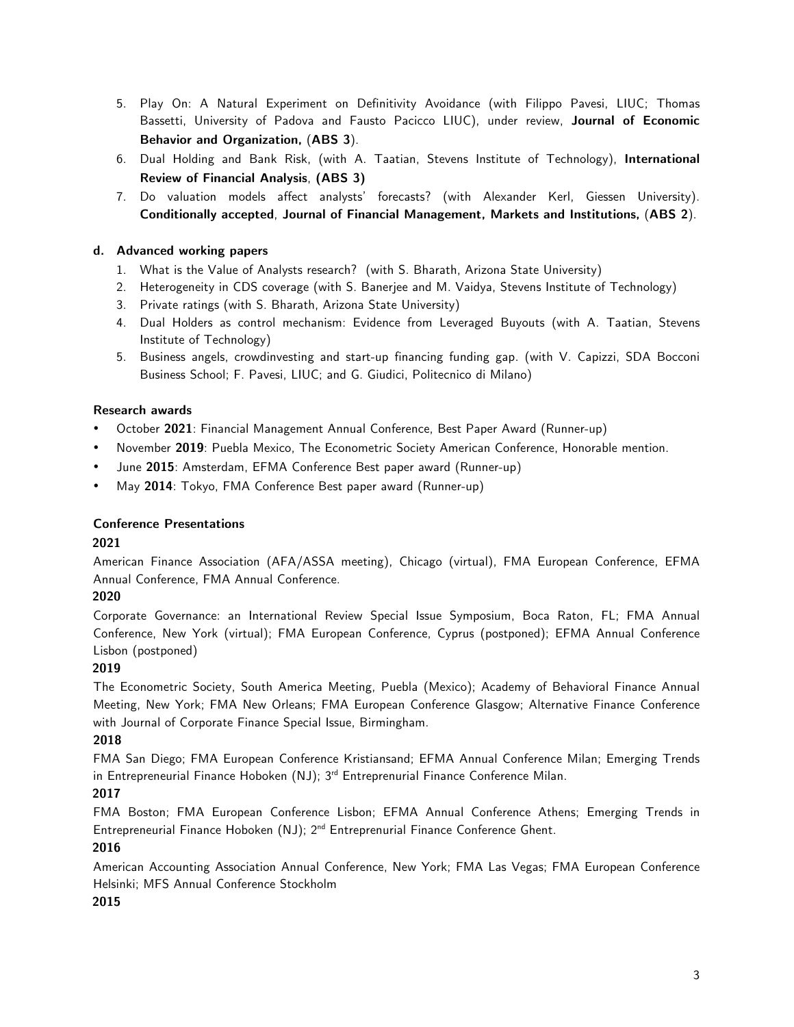- 5. Play On: A Natural Experiment on Definitivity Avoidance (with Filippo Pavesi, LIUC; Thomas Bassetti, University of Padova and Fausto Pacicco LIUC), under review, **Journal of Economic Behavior and Organization,** (**ABS 3**).
- 6. Dual Holding and Bank Risk, (with A. Taatian, Stevens Institute of Technology), **International Review of Financial Analysis**, **(ABS 3)**
- 7. Do valuation models affect analysts' forecasts? (with Alexander Kerl, Giessen University). **Conditionally accepted**, **Journal of Financial Management, Markets and Institutions,** (**ABS 2**).

# **d. Advanced working papers**

- 1. What is the Value of Analysts research? (with S. Bharath, Arizona State University)
- 2. Heterogeneity in CDS coverage (with S. Banerjee and M. Vaidya, Stevens Institute of Technology)
- 3. Private ratings (with S. Bharath, Arizona State University)
- 4. Dual Holders as control mechanism: Evidence from Leveraged Buyouts (with A. Taatian, Stevens Institute of Technology)
- 5. Business angels, crowdinvesting and start-up financing funding gap. (with V. Capizzi, SDA Bocconi Business School; F. Pavesi, LIUC; and G. Giudici, Politecnico di Milano)

# **Research awards**

- October **2021**: Financial Management Annual Conference, Best Paper Award (Runner-up)
- November **2019**: Puebla Mexico, The Econometric Society American Conference, Honorable mention.
- June **2015**: Amsterdam, EFMA Conference Best paper award (Runner-up)
- May **2014**: Tokyo, FMA Conference Best paper award (Runner-up)

# **Conference Presentations**

# **2021**

American Finance Association (AFA/ASSA meeting), Chicago (virtual), FMA European Conference, EFMA Annual Conference, FMA Annual Conference.

# **2020**

Corporate Governance: an International Review Special Issue Symposium, Boca Raton, FL; FMA Annual Conference, New York (virtual); FMA European Conference, Cyprus (postponed); EFMA Annual Conference Lisbon (postponed)

# **2019**

The Econometric Society, South America Meeting, Puebla (Mexico); Academy of Behavioral Finance Annual Meeting, New York; FMA New Orleans; FMA European Conference Glasgow; Alternative Finance Conference with Journal of Corporate Finance Special Issue, Birmingham.

# **2018**

FMA San Diego; FMA European Conference Kristiansand; EFMA Annual Conference Milan; Emerging Trends in Entrepreneurial Finance Hoboken  $(NJ)$ ; 3<sup>rd</sup> Entreprenurial Finance Conference Milan.

# **2017**

FMA Boston; FMA European Conference Lisbon; EFMA Annual Conference Athens; Emerging Trends in Entrepreneurial Finance Hoboken (NJ); 2<sup>nd</sup> Entreprenurial Finance Conference Ghent.

# **2016**

American Accounting Association Annual Conference, New York; FMA Las Vegas; FMA European Conference Helsinki; MFS Annual Conference Stockholm

# **2015**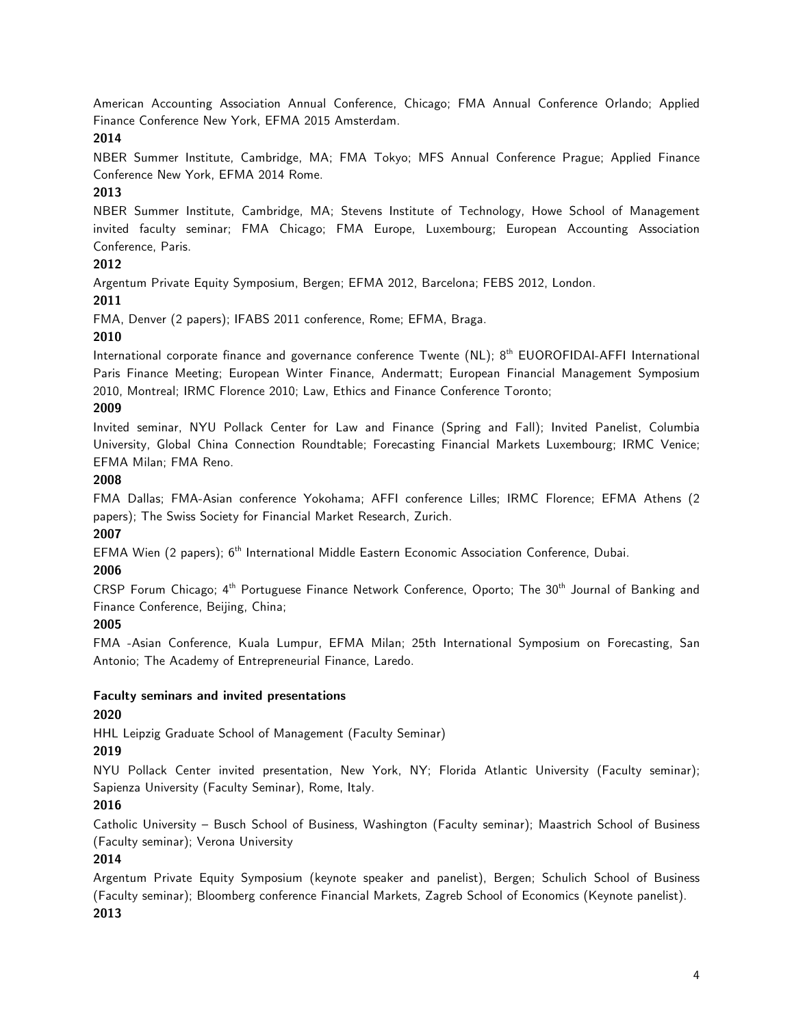American Accounting Association Annual Conference, Chicago; FMA Annual Conference Orlando; Applied Finance Conference New York, EFMA 2015 Amsterdam.

### **2014**

NBER Summer Institute, Cambridge, MA; FMA Tokyo; MFS Annual Conference Prague; Applied Finance Conference New York, EFMA 2014 Rome.

# **2013**

NBER Summer Institute, Cambridge, MA; Stevens Institute of Technology, Howe School of Management invited faculty seminar; FMA Chicago; FMA Europe, Luxembourg; European Accounting Association Conference, Paris.

# **2012**

Argentum Private Equity Symposium, Bergen; EFMA 2012, Barcelona; FEBS 2012, London.

# **2011**

FMA, Denver (2 papers); IFABS 2011 conference, Rome; EFMA, Braga.

# **2010**

International corporate finance and governance conference Twente (NL);  $8<sup>th</sup>$  EUOROFIDAI-AFFI International Paris Finance Meeting; European Winter Finance, Andermatt; European Financial Management Symposium 2010, Montreal; IRMC Florence 2010; Law, Ethics and Finance Conference Toronto;

#### **2009**

Invited seminar, NYU Pollack Center for Law and Finance (Spring and Fall); Invited Panelist, Columbia University, Global China Connection Roundtable; Forecasting Financial Markets Luxembourg; IRMC Venice; EFMA Milan; FMA Reno.

#### **2008**

FMA Dallas; FMA-Asian conference Yokohama; AFFI conference Lilles; IRMC Florence; EFMA Athens (2 papers); The Swiss Society for Financial Market Research, Zurich.

# **2007**

EFMA Wien (2 papers); 6<sup>th</sup> International Middle Eastern Economic Association Conference, Dubai.

# **2006**

CRSP Forum Chicago; 4<sup>th</sup> Portuguese Finance Network Conference, Oporto; The 30<sup>th</sup> Journal of Banking and Finance Conference, Beijing, China;

# **2005**

FMA -Asian Conference, Kuala Lumpur, EFMA Milan; 25th International Symposium on Forecasting, San Antonio; The Academy of Entrepreneurial Finance, Laredo.

#### **Faculty seminars and invited presentations**

# **2020**

HHL Leipzig Graduate School of Management (Faculty Seminar)

# **2019**

NYU Pollack Center invited presentation, New York, NY; Florida Atlantic University (Faculty seminar); Sapienza University (Faculty Seminar), Rome, Italy.

# **2016**

Catholic University – Busch School of Business, Washington (Faculty seminar); Maastrich School of Business (Faculty seminar); Verona University

# **2014**

Argentum Private Equity Symposium (keynote speaker and panelist), Bergen; Schulich School of Business (Faculty seminar); Bloomberg conference Financial Markets, Zagreb School of Economics (Keynote panelist). **2013**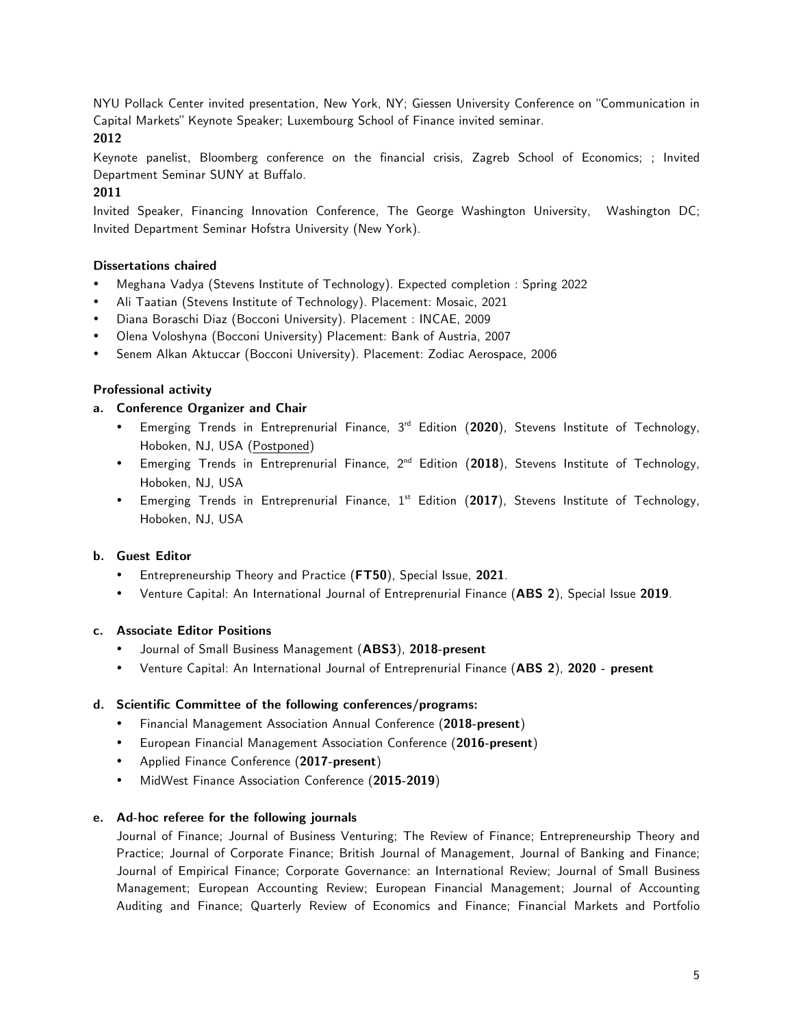NYU Pollack Center invited presentation, New York, NY; Giessen University Conference on "Communication in Capital Markets" Keynote Speaker; Luxembourg School of Finance invited seminar.

#### **2012**

Keynote panelist, Bloomberg conference on the financial crisis, Zagreb School of Economics; ; Invited Department Seminar SUNY at Buffalo.

### **2011**

Invited Speaker, Financing Innovation Conference, The George Washington University, Washington DC; Invited Department Seminar Hofstra University (New York).

#### **Dissertations chaired**

- Meghana Vadya (Stevens Institute of Technology). Expected completion : Spring 2022
- Ali Taatian (Stevens Institute of Technology). Placement: Mosaic, 2021
- Diana Boraschi Diaz (Bocconi University). Placement : INCAE, 2009
- Olena Voloshyna (Bocconi University) Placement: Bank of Austria, 2007
- Senem Alkan Aktuccar (Bocconi University). Placement: Zodiac Aerospace, 2006

#### **Professional activity**

#### **a. Conference Organizer and Chair**

- Emerging Trends in Entreprenurial Finance, 3rd Edition (**2020**), Stevens Institute of Technology, Hoboken, NJ, USA (Postponed)
- Emerging Trends in Entreprenurial Finance, 2nd Edition (**2018**), Stevens Institute of Technology, Hoboken, NJ, USA
- Emerging Trends in Entreprenurial Finance, 1<sup>st</sup> Edition (2017), Stevens Institute of Technology, Hoboken, NJ, USA

#### **b. Guest Editor**

- Entrepreneurship Theory and Practice (**FT50**), Special Issue, **2021**.
- Venture Capital: An International Journal of Entreprenurial Finance (**ABS 2**), Special Issue **2019**.

#### **c. Associate Editor Positions**

- Journal of Small Business Management (**ABS3**), **2018-present**
- Venture Capital: An International Journal of Entreprenurial Finance (**ABS 2**), **2020 - present**

#### **d. Scientific Committee of the following conferences/programs:**

- Financial Management Association Annual Conference (**2018-present**)
- European Financial Management Association Conference (**2016-present**)
- Applied Finance Conference (**2017-present**)
- MidWest Finance Association Conference (**2015-2019**)

#### **e. Ad-hoc referee for the following journals**

Journal of Finance; Journal of Business Venturing; The Review of Finance; Entrepreneurship Theory and Practice; Journal of Corporate Finance; British Journal of Management, Journal of Banking and Finance; Journal of Empirical Finance; Corporate Governance: an International Review; Journal of Small Business Management; European Accounting Review; European Financial Management; Journal of Accounting Auditing and Finance; Quarterly Review of Economics and Finance; Financial Markets and Portfolio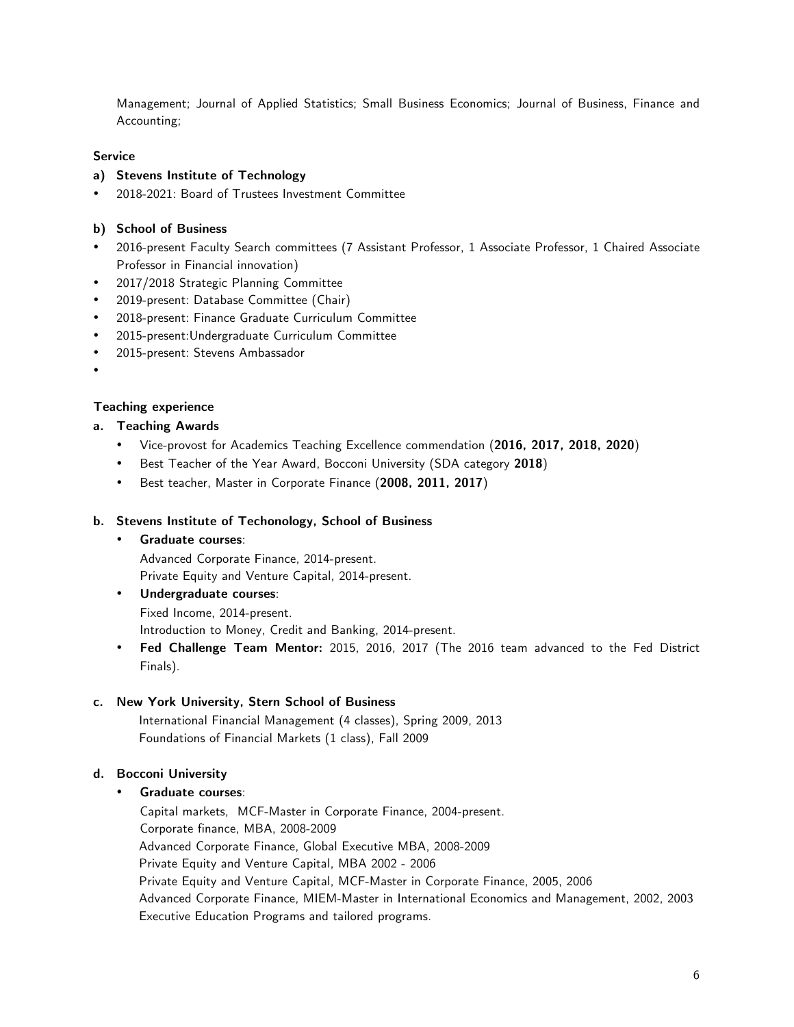Management; Journal of Applied Statistics; Small Business Economics; Journal of Business, Finance and Accounting;

#### **Service**

#### **a) Stevens Institute of Technology**

• 2018-2021: Board of Trustees Investment Committee

#### **b) School of Business**

- 2016-present Faculty Search committees (7 Assistant Professor, 1 Associate Professor, 1 Chaired Associate Professor in Financial innovation)
- 2017/2018 Strategic Planning Committee
- 2019-present: Database Committee (Chair)
- 2018-present: Finance Graduate Curriculum Committee
- 2015-present:Undergraduate Curriculum Committee
- 2015-present: Stevens Ambassador
- •

# **Teaching experience**

#### **a. Teaching Awards**

- Vice-provost for Academics Teaching Excellence commendation (**2016, 2017, 2018, 2020**)
- Best Teacher of the Year Award, Bocconi University (SDA category **2018**)
- Best teacher, Master in Corporate Finance (**2008, 2011, 2017**)

#### **b. Stevens Institute of Techonology, School of Business**

• **Graduate courses**:

Advanced Corporate Finance, 2014-present.

Private Equity and Venture Capital, 2014-present.

- **Undergraduate courses**: Fixed Income, 2014-present. Introduction to Money, Credit and Banking, 2014-present.
- **Fed Challenge Team Mentor:** 2015, 2016, 2017 (The 2016 team advanced to the Fed District Finals).

#### **c. New York University, Stern School of Business**

International Financial Management (4 classes), Spring 2009, 2013 Foundations of Financial Markets (1 class), Fall 2009

#### **d. Bocconi University**

#### • **Graduate courses**:

Capital markets, MCF-Master in Corporate Finance, 2004-present. Corporate finance, MBA, 2008-2009 Advanced Corporate Finance, Global Executive MBA, 2008-2009 Private Equity and Venture Capital, MBA 2002 - 2006 Private Equity and Venture Capital, MCF-Master in Corporate Finance, 2005, 2006 Advanced Corporate Finance, MIEM-Master in International Economics and Management, 2002, 2003 Executive Education Programs and tailored programs.